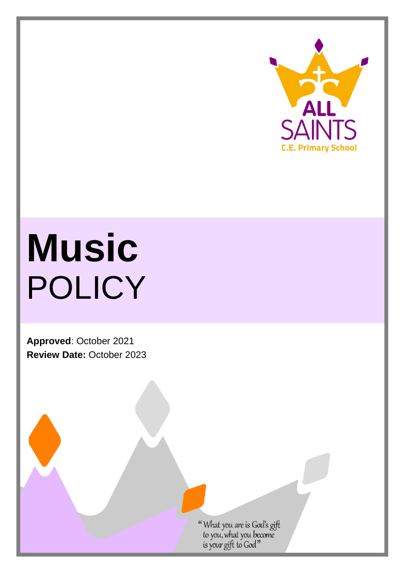

# **Music** POLICY

**Approved**: October 2021 **Review Date:** October 2023

"What you are is God's gift<br>to you, what you become<br>is your gift to God"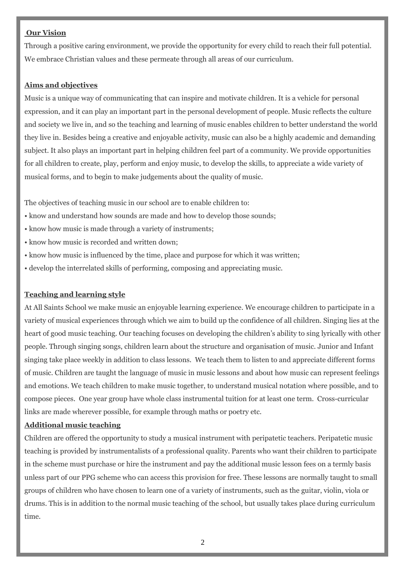### **Our Vision**

Through a positive caring environment, we provide the opportunity for every child to reach their full potential. We embrace Christian values and these permeate through all areas of our curriculum.

### **Aims and objectives**

Music is a unique way of communicating that can inspire and motivate children. It is a vehicle for personal expression, and it can play an important part in the personal development of people. Music reflects the culture and society we live in, and so the teaching and learning of music enables children to better understand the world they live in. Besides being a creative and enjoyable activity, music can also be a highly academic and demanding subject. It also plays an important part in helping children feel part of a community. We provide opportunities for all children to create, play, perform and enjoy music, to develop the skills, to appreciate a wide variety of musical forms, and to begin to make judgements about the quality of music.

The objectives of teaching music in our school are to enable children to:

- know and understand how sounds are made and how to develop those sounds;
- know how music is made through a variety of instruments;
- know how music is recorded and written down;
- know how music is influenced by the time, place and purpose for which it was written;
- develop the interrelated skills of performing, composing and appreciating music.

# **Teaching and learning style**

At All Saints School we make music an enjoyable learning experience. We encourage children to participate in a variety of musical experiences through which we aim to build up the confidence of all children. Singing lies at the heart of good music teaching. Our teaching focuses on developing the children's ability to sing lyrically with other people. Through singing songs, children learn about the structure and organisation of music. Junior and Infant singing take place weekly in addition to class lessons. We teach them to listen to and appreciate different forms of music. Children are taught the language of music in music lessons and about how music can represent feelings and emotions. We teach children to make music together, to understand musical notation where possible, and to compose pieces. One year group have whole class instrumental tuition for at least one term. Cross-curricular links are made wherever possible, for example through maths or poetry etc.

### **Additional music teaching**

Children are offered the opportunity to study a musical instrument with peripatetic teachers. Peripatetic music teaching is provided by instrumentalists of a professional quality. Parents who want their children to participate in the scheme must purchase or hire the instrument and pay the additional music lesson fees on a termly basis unless part of our PPG scheme who can access this provision for free. These lessons are normally taught to small groups of children who have chosen to learn one of a variety of instruments, such as the guitar, violin, viola or drums. This is in addition to the normal music teaching of the school, but usually takes place during curriculum time.